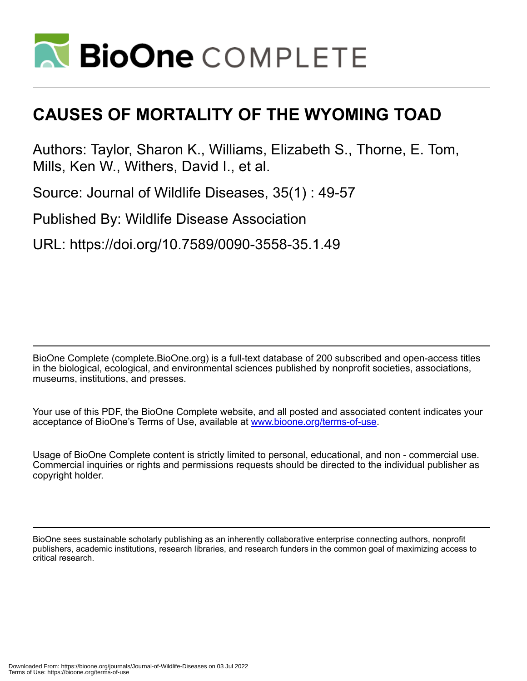

# **CAUSES OF MORTALITY OF THE WYOMING TOAD**

Authors: Taylor, Sharon K., Williams, Elizabeth S., Thorne, E. Tom, Mills, Ken W., Withers, David I., et al.

Source: Journal of Wildlife Diseases, 35(1) : 49-57

Published By: Wildlife Disease Association

URL: https://doi.org/10.7589/0090-3558-35.1.49

BioOne Complete (complete.BioOne.org) is a full-text database of 200 subscribed and open-access titles in the biological, ecological, and environmental sciences published by nonprofit societies, associations, museums, institutions, and presses.

Your use of this PDF, the BioOne Complete website, and all posted and associated content indicates your acceptance of BioOne's Terms of Use, available at www.bioone.org/terms-of-use.

Usage of BioOne Complete content is strictly limited to personal, educational, and non - commercial use. Commercial inquiries or rights and permissions requests should be directed to the individual publisher as copyright holder.

BioOne sees sustainable scholarly publishing as an inherently collaborative enterprise connecting authors, nonprofit publishers, academic institutions, research libraries, and research funders in the common goal of maximizing access to critical research.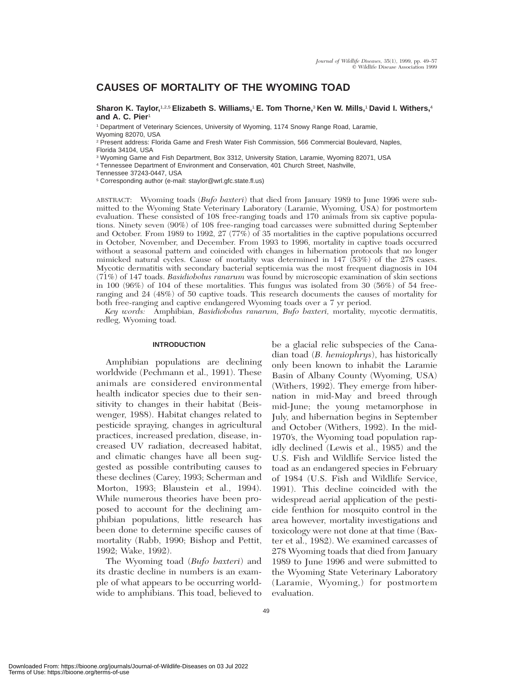## **CAUSES OF MORTALITY OF THE WYOMING TOAD**

**Sharon K. Taylor,**1,2,5 **Elizabeth S. Williams,**<sup>1</sup> **E. Tom Thorne,**<sup>3</sup> **Ken W. Mills,**<sup>1</sup> **David I. Withers,**<sup>4</sup> **and A. C. Pier**<sup>1</sup>

<sup>1</sup> Department of Veterinary Sciences, University of Wyoming, 1174 Snowy Range Road, Laramie, Wyoming 82070, USA

<sup>2</sup> Present address: Florida Game and Fresh Water Fish Commission, 566 Commercial Boulevard, Naples, Florida 34104, USA

<sup>3</sup> Wyoming Game and Fish Department, Box 3312, University Station, Laramie, Wyoming 82071, USA

<sup>4</sup> Tennessee Department of Environment and Conservation, 401 Church Street, Nashville,

Tennessee 37243-0447, USA

<sup>5</sup> Corresponding author (e-mail: staylor@wrl.gfc.state.fl.us)

ABSTRACT: Wyoming toads (*Bufo baxteri*) that died from January 1989 to June 1996 were submitted to the Wyoming State Veterinary Laboratory (Laramie, Wyoming, USA) for postmortem evaluation. These consisted of 108 free-ranging toads and 170 animals from six captive populations. Ninety seven (90%) of 108 free-ranging toad carcasses were submitted during September and October. From 1989 to 1992, 27 (77%) of 35 mortalities in the captive populations occurred in October, November, and December. From 1993 to 1996, mortality in captive toads occurred without a seasonal pattern and coincided with changes in hibernation protocols that no longer mimicked natural cycles. Cause of mortality was determined in 147 (53%) of the 278 cases. Mycotic dermatitis with secondary bacterial septicemia was the most frequent diagnosis in 104 (71%) of 147 toads. *Basidiobolus ranarum* was found by microscopic examination of skin sections in 100 (96%) of 104 of these mortalities. This fungus was isolated from 30 (56%) of 54 freeranging and 24 (48%) of 50 captive toads. This research documents the causes of mortality for both free-ranging and captive endangered Wyoming toads over a 7 yr period.

*Key words:* Amphibian, *Basidiobolus ranarum, Bufo baxteri,* mortality, mycotic dermatitis, redleg, Wyoming toad.

## **INTRODUCTION**

Amphibian populations are declining worldwide (Pechmann et al., 1991). These animals are considered environmental health indicator species due to their sensitivity to changes in their habitat (Beiswenger, 1988). Habitat changes related to pesticide spraying, changes in agricultural practices, increased predation, disease, increased UV radiation, decreased habitat, and climatic changes have all been suggested as possible contributing causes to these declines (Carey, 1993; Scherman and Morton, 1993; Blaustein et al., 1994). While numerous theories have been proposed to account for the declining amphibian populations, little research has been done to determine specific causes of mortality (Rabb, 1990; Bishop and Pettit, 1992; Wake, 1992).

The Wyoming toad (*Bufo baxteri*) and its drastic decline in numbers is an example of what appears to be occurring worldwide to amphibians. This toad, believed to be a glacial relic subspecies of the Canadian toad (*B. hemiophrys*), has historically only been known to inhabit the Laramie Basin of Albany County (Wyoming, USA) (Withers, 1992). They emerge from hibernation in mid-May and breed through mid-June; the young metamorphose in July, and hibernation begins in September and October (Withers, 1992). In the mid-1970's, the Wyoming toad population rapidly declined (Lewis et al., 1985) and the U.S. Fish and Wildlife Service listed the toad as an endangered species in February of 1984 (U.S. Fish and Wildlife Service, 1991). This decline coincided with the widespread aerial application of the pesticide fenthion for mosquito control in the area however, mortality investigations and toxicology were not done at that time (Baxter et al., 1982). We examined carcasses of 278 Wyoming toads that died from January 1989 to June 1996 and were submitted to the Wyoming State Veterinary Laboratory (Laramie, Wyoming,) for postmortem evaluation.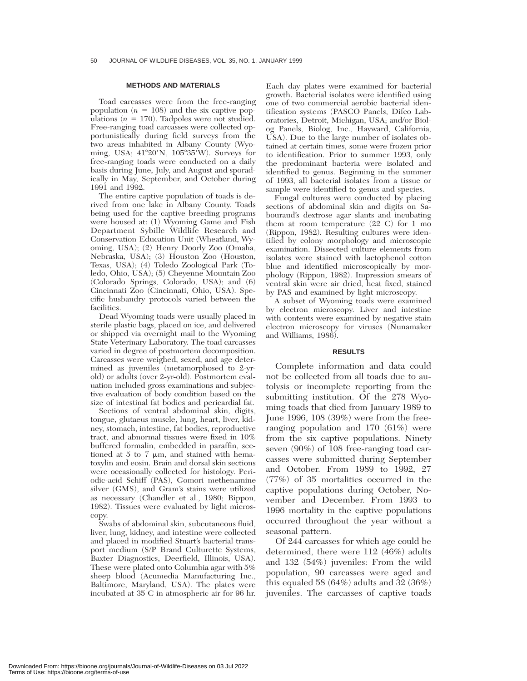## **METHODS AND MATERIALS**

Toad carcasses were from the free-ranging population  $(n = 108)$  and the six captive populations  $(n = 170)$ . Tadpoles were not studied. Free-ranging toad carcasses were collected opportunistically during field surveys from the two areas inhabited in Albany County (Wyoming, USA;  $41^{\circ}20'$ N,  $105^{\circ}35'$ W). Surveys for free-ranging toads were conducted on a daily basis during June, July, and August and sporadically in May, September, and October during 1991 and 1992.

The entire captive population of toads is derived from one lake in Albany County. Toads being used for the captive breeding programs were housed at: (1) Wyoming Game and Fish Department Sybille Wildlife Research and Conservation Education Unit (Wheatland, Wyoming, USA); (2) Henry Doorly Zoo (Omaha, Nebraska, USA); (3) Houston Zoo (Houston, Texas, USA); (4) Toledo Zoological Park (Toledo, Ohio, USA); (5) Cheyenne Mountain Zoo (Colorado Springs, Colorado, USA); and (6) Cincinnati Zoo (Cincinnati, Ohio, USA). Specific husbandry protocols varied between the facilities.

Dead Wyoming toads were usually placed in sterile plastic bags, placed on ice, and delivered or shipped via overnight mail to the Wyoming State Veterinary Laboratory. The toad carcasses varied in degree of postmortem decomposition. Carcasses were weighed, sexed, and age determined as juveniles (metamorphosed to 2-yrold) or adults (over 2-yr-old). Postmortem evaluation included gross examinations and subjective evaluation of body condition based on the size of intestinal fat bodies and pericardial fat.

Sections of ventral abdominal skin, digits, tongue, glutaeus muscle, lung, heart, liver, kidney, stomach, intestine, fat bodies, reproductive tract, and abnormal tissues were fixed in 10% buffered formalin, embedded in paraffin, sectioned at 5 to 7  $\mu$ m, and stained with hematoxylin and eosin. Brain and dorsal skin sections were occasionally collected for histology. Periodic-acid Schiff (PAS), Gomori methenamine silver (GMS), and Gram's stains were utilized as necessary (Chandler et al., 1980; Rippon, 1982). Tissues were evaluated by light microscopy.

Swabs of abdominal skin, subcutaneous fluid, liver, lung, kidney, and intestine were collected and placed in modified Stuart's bacterial transport medium (S/P Brand Culturette Systems, Baxter Diagnostics, Deerfield, Illinois, USA). These were plated onto Columbia agar with 5% sheep blood (Acumedia Manufacturing Inc., Baltimore, Maryland, USA). The plates were incubated at 35 C in atmospheric air for 96 hr.

Each day plates were examined for bacterial growth. Bacterial isolates were identified using one of two commercial aerobic bacterial identification systems (PASCO Panels, Difco Laboratories, Detroit, Michigan, USA; and/or Biolog Panels, Biolog, Inc., Hayward, California, USA). Due to the large number of isolates obtained at certain times, some were frozen prior to identification. Prior to summer 1993, only the predominant bacteria were isolated and identified to genus. Beginning in the summer of 1993, all bacterial isolates from a tissue or sample were identified to genus and species.

Fungal cultures were conducted by placing sections of abdominal skin and digits on Sabouraud's dextrose agar slants and incubating them at room temperature (22 C) for 1 mo (Rippon, 1982). Resulting cultures were identified by colony morphology and microscopic examination. Dissected culture elements from isolates were stained with lactophenol cotton blue and identified microscopically by morphology (Rippon, 1982). Impression smears of ventral skin were air dried, heat fixed, stained by PAS and examined by light microscopy.

A subset of Wyoming toads were examined by electron microscopy. Liver and intestine with contents were examined by negative stain electron microscopy for viruses (Nunamaker and Williams, 1986).

#### **RESULTS**

Complete information and data could not be collected from all toads due to autolysis or incomplete reporting from the submitting institution. Of the 278 Wyoming toads that died from January 1989 to June 1996, 108 (39%) were from the freeranging population and 170 (61%) were from the six captive populations. Ninety seven (90%) of 108 free-ranging toad carcasses were submitted during September and October. From 1989 to 1992, 27 (77%) of 35 mortalities occurred in the captive populations during October, November and December. From 1993 to 1996 mortality in the captive populations occurred throughout the year without a seasonal pattern.

Of 244 carcasses for which age could be determined, there were 112 (46%) adults and 132 (54%) juveniles: From the wild population, 90 carcasses were aged and this equaled 58 (64%) adults and 32 (36%) juveniles. The carcasses of captive toads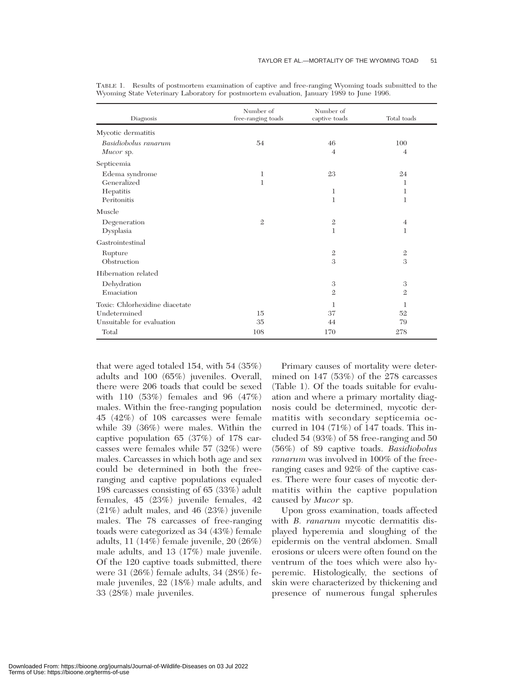| Diagnosis                      | Number of<br>free-ranging toads | Number of<br>captive toads | Total toads    |  |
|--------------------------------|---------------------------------|----------------------------|----------------|--|
| Mycotic dermatitis             |                                 |                            |                |  |
| Basidiobolus ranarum           | 54                              | 46                         | 100            |  |
| Mucor sp.                      |                                 | $\overline{4}$             | 4              |  |
| Septicemia                     |                                 |                            |                |  |
| Edema syndrome                 | 1                               | 23                         | 24             |  |
| Generalized                    | $\mathbf{1}$                    |                            | 1              |  |
| Hepatitis                      |                                 | $\mathbf 1$                | 1              |  |
| Peritonitis                    |                                 | $\mathbf{1}$               | 1              |  |
| Muscle                         |                                 |                            |                |  |
| Degeneration                   | $\mathfrak{2}$                  | $\mathfrak{2}$             | $\overline{4}$ |  |
| Dysplasia                      |                                 | $\mathbf{1}$               | 1              |  |
| Gastrointestinal               |                                 |                            |                |  |
| Rupture                        |                                 | $\mathfrak{2}$             | $\mathfrak{2}$ |  |
| Obstruction                    |                                 | 3                          | 3              |  |
| Hibernation related            |                                 |                            |                |  |
| Dehydration                    |                                 | 3                          | 3              |  |
| Emaciation                     |                                 | $\mathbf{2}$               | $\overline{2}$ |  |
| Toxic: Chlorhexidine diacetate |                                 | 1                          | 1              |  |
| Undetermined                   | 15                              | 37                         | 52             |  |
| Unsuitable for evaluation      | 35                              | 44                         | 79             |  |
| Total                          | 108                             | 170                        | 278            |  |

TABLE 1. Results of postmortem examination of captive and free-ranging Wyoming toads submitted to the Wyoming State Veterinary Laboratory for postmortem evaluation, January 1989 to June 1996.

that were aged totaled 154, with 54 (35%) adults and 100 (65%) juveniles. Overall, there were 206 toads that could be sexed with 110 (53%) females and 96 (47%) males. Within the free-ranging population 45 (42%) of 108 carcasses were female while 39 (36%) were males. Within the captive population 65 (37%) of 178 carcasses were females while 57 (32%) were males. Carcasses in which both age and sex could be determined in both the freeranging and captive populations equaled 198 carcasses consisting of 65 (33%) adult females, 45 (23%) juvenile females, 42 (21%) adult males, and 46 (23%) juvenile males. The 78 carcasses of free-ranging toads were categorized as 34 (43%) female adults, 11 (14%) female juvenile, 20 (26%) male adults, and 13 (17%) male juvenile. Of the 120 captive toads submitted, there were 31 (26%) female adults, 34 (28%) female juveniles, 22 (18%) male adults, and 33 (28%) male juveniles.

Primary causes of mortality were determined on 147 (53%) of the 278 carcasses (Table 1). Of the toads suitable for evaluation and where a primary mortality diagnosis could be determined, mycotic dermatitis with secondary septicemia occurred in 104 (71%) of 147 toads. This included 54 (93%) of 58 free-ranging and 50 (56%) of 89 captive toads. *Basidiobolus ranarum* was involved in 100% of the freeranging cases and 92% of the captive cases. There were four cases of mycotic dermatitis within the captive population caused by *Mucor* sp.

Upon gross examination, toads affected with *B. ranarum* mycotic dermatitis displayed hyperemia and sloughing of the epidermis on the ventral abdomen. Small erosions or ulcers were often found on the ventrum of the toes which were also hyperemic. Histologically, the sections of skin were characterized by thickening and presence of numerous fungal spherules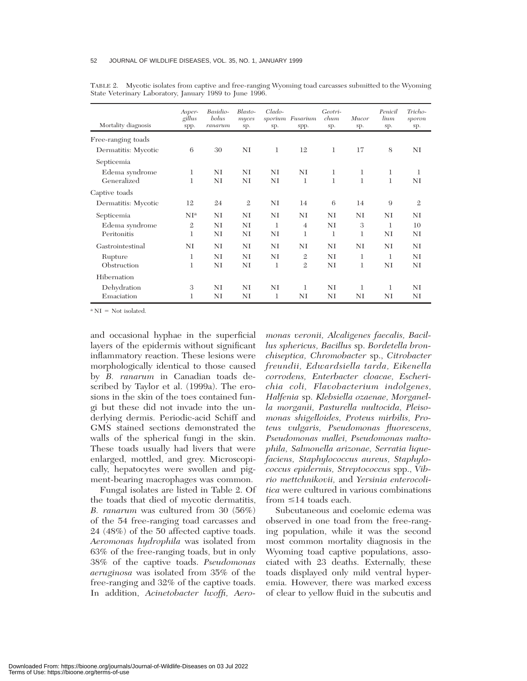| Mortality diagnosis | Asper-<br>gillus<br>spp. | Basidio-<br>bolus<br>ranarum | Blasto-<br>myces<br>sp. | Clado-<br>sp. | sporium Fusarium<br>spp. | Geotri-<br>chum<br>sp. | Mucor<br>sp. | Penicil<br>lium<br>sp. | Tricho-<br>sporon<br>sp. |
|---------------------|--------------------------|------------------------------|-------------------------|---------------|--------------------------|------------------------|--------------|------------------------|--------------------------|
| Free-ranging toads  |                          |                              |                         |               |                          |                        |              |                        |                          |
| Dermatitis: Mycotic | 6                        | 30                           | NI                      | 1             | 12                       | 1                      | 17           | 8                      | NI                       |
| Septicemia          |                          |                              |                         |               |                          |                        |              |                        |                          |
| Edema syndrome      | 1                        | NI                           | NI                      | NI            | NI                       | 1                      | 1            | 1                      | 1                        |
| Generalized         | 1                        | NI                           | NI                      | NI            | 1                        | 1                      | 1            | 1                      | NI                       |
| Captive toads       |                          |                              |                         |               |                          |                        |              |                        |                          |
| Dermatitis: Mycotic | 12                       | 24                           | $\mathbf{2}$            | NI            | 14                       | 6                      | 14           | 9                      | $\mathfrak{2}$           |
| Septicemia          | NI <sup>a</sup>          | NI                           | NI                      | NI            | NI                       | NI                     | NI           | NI                     | NI                       |
| Edema syndrome      | $\mathfrak{2}$           | NI                           | NI                      | 1             | $\overline{4}$           | NI                     | 3            | 1                      | 10                       |
| Peritonitis         | 1                        | NI                           | NI                      | NI            | 1                        | 1                      | 1            | NI                     | NI                       |
| Gastrointestinal    | NI                       | NI                           | NI                      | NI            | NI                       | NI                     | NI           | NI                     | NI                       |
| Rupture             | 1                        | NI                           | NI                      | NI            | 2                        | NI                     | 1            | 1                      | NI                       |
| Obstruction         | 1                        | NI                           | NI                      | 1             | $\overline{2}$           | NI                     | 1            | NI                     | NI                       |
| Hibernation         |                          |                              |                         |               |                          |                        |              |                        |                          |
| Dehydration         | 3                        | NI                           | NI                      | NI            | 1                        | NI                     | 1            | 1                      | NI                       |
| Emaciation          | 1                        | NI                           | NI                      | 1             | NI                       | NI                     | NI           | NI                     | NI                       |

TABLE 2. Mycotic isolates from captive and free-ranging Wyoming toad carcasses submitted to the Wyoming State Veterinary Laboratory, January 1989 to June 1996.

 $^{\rm a}$  NI = Not isolated.

and occasional hyphae in the superficial layers of the epidermis without significant inflammatory reaction. These lesions were morphologically identical to those caused by *B. ranarum* in Canadian toads described by Taylor et al. (1999a). The erosions in the skin of the toes contained fungi but these did not invade into the underlying dermis. Periodic-acid Schiff and GMS stained sections demonstrated the walls of the spherical fungi in the skin. These toads usually had livers that were enlarged, mottled, and grey. Microscopically, hepatocytes were swollen and pigment-bearing macrophages was common.

Fungal isolates are listed in Table 2. Of the toads that died of mycotic dermatitis, *B. ranarum* was cultured from 30 (56%) of the 54 free-ranging toad carcasses and 24 (48%) of the 50 affected captive toads. *Aeromonas hydrophila* was isolated from 63% of the free-ranging toads, but in only 38% of the captive toads. *Pseudomonas aeruginosa* was isolated from 35% of the free-ranging and 32% of the captive toads. In addition, *Acinetobacter lwoffi, Aero-*

*monas veronii, Alcaligenes faecalis, Bacillus sphericus, Bacillus* sp. *Bordetella bronchiseptica, Chromobacter* sp., *Citrobacter freundii, Edwardsiella tarda, Eikenella corrodens, Enterbacter cloacae, Escherichia coli, Flavobacterium indolgenes, Halfenia* sp. *Klebsiella ozaenae, Morganella morganii, Pasturella multocida, Pleisomonas shigelloides, Proteus mirbilis, Proteus vulgaris, Pseudomonas fluorescens, Pseudomonas mallei, Pseudomonas maltophila, Salmonella arizonae, Serratia liquefaciens, Staphylococcus aureus, Staphylococcus epidermis, Streptococcus* spp., *Vibrio mettchnikovii,* and *Yersinia enterocolitica* were cultured in various combinations from  $\leq 14$  toads each.

Subcutaneous and coelomic edema was observed in one toad from the free-ranging population, while it was the second most common mortality diagnosis in the Wyoming toad captive populations, associated with 23 deaths. Externally, these toads displayed only mild ventral hyperemia. However, there was marked excess of clear to yellow fluid in the subcutis and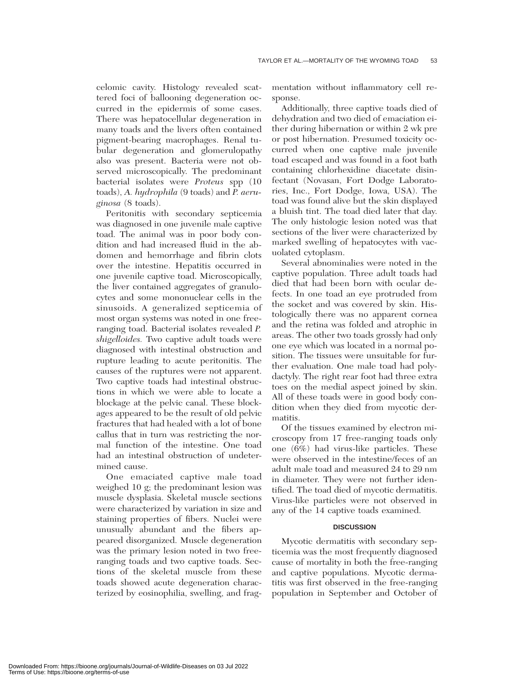celomic cavity. Histology revealed scattered foci of ballooning degeneration occurred in the epidermis of some cases. There was hepatocellular degeneration in many toads and the livers often contained pigment-bearing macrophages. Renal tubular degeneration and glomerulopathy also was present. Bacteria were not observed microscopically. The predominant bacterial isolates were *Proteus* spp (10 toads), *A. hydrophila* (9 toads) and *P. aeruginosa* (8 toads).

Peritonitis with secondary septicemia was diagnosed in one juvenile male captive toad. The animal was in poor body condition and had increased fluid in the abdomen and hemorrhage and fibrin clots over the intestine. Hepatitis occurred in one juvenile captive toad. Microscopically, the liver contained aggregates of granulocytes and some mononuclear cells in the sinusoids. A generalized septicemia of most organ systems was noted in one freeranging toad. Bacterial isolates revealed *P. shigelloides.* Two captive adult toads were diagnosed with intestinal obstruction and rupture leading to acute peritonitis. The causes of the ruptures were not apparent. Two captive toads had intestinal obstructions in which we were able to locate a blockage at the pelvic canal. These blockages appeared to be the result of old pelvic fractures that had healed with a lot of bone callus that in turn was restricting the normal function of the intestine. One toad had an intestinal obstruction of undetermined cause.

One emaciated captive male toad weighed 10 g; the predominant lesion was muscle dysplasia. Skeletal muscle sections were characterized by variation in size and staining properties of fibers. Nuclei were unusually abundant and the fibers appeared disorganized. Muscle degeneration was the primary lesion noted in two freeranging toads and two captive toads. Sections of the skeletal muscle from these toads showed acute degeneration characterized by eosinophilia, swelling, and fragmentation without inflammatory cell response.

Additionally, three captive toads died of dehydration and two died of emaciation either during hibernation or within 2 wk pre or post hibernation. Presumed toxicity occurred when one captive male juvenile toad escaped and was found in a foot bath containing chlorhexidine diacetate disinfectant (Novasan, Fort Dodge Laboratories, Inc., Fort Dodge, Iowa, USA). The toad was found alive but the skin displayed a bluish tint. The toad died later that day. The only histologic lesion noted was that sections of the liver were characterized by marked swelling of hepatocytes with vacuolated cytoplasm.

Several abnominalies were noted in the captive population. Three adult toads had died that had been born with ocular defects. In one toad an eye protruded from the socket and was covered by skin. Histologically there was no apparent cornea and the retina was folded and atrophic in areas. The other two toads grossly had only one eye which was located in a normal position. The tissues were unsuitable for further evaluation. One male toad had polydactyly. The right rear foot had three extra toes on the medial aspect joined by skin. All of these toads were in good body condition when they died from mycotic dermatitis.

Of the tissues examined by electron microscopy from 17 free-ranging toads only one (6%) had virus-like particles. These were observed in the intestine/feces of an adult male toad and measured 24 to 29 nm in diameter. They were not further identified. The toad died of mycotic dermatitis. Virus-like particles were not observed in any of the 14 captive toads examined.

## **DISCUSSION**

Mycotic dermatitis with secondary septicemia was the most frequently diagnosed cause of mortality in both the free-ranging and captive populations. Mycotic dermatitis was first observed in the free-ranging population in September and October of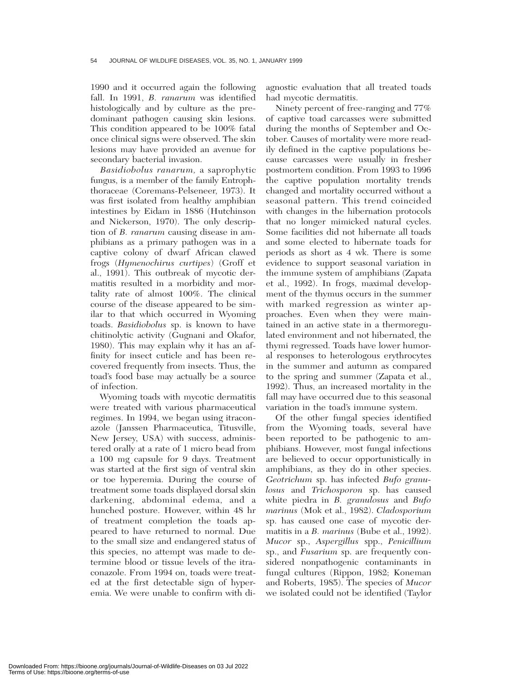1990 and it occurred again the following fall. In 1991, *B. ranarum* was identified histologically and by culture as the predominant pathogen causing skin lesions. This condition appeared to be 100% fatal once clinical signs were observed. The skin lesions may have provided an avenue for secondary bacterial invasion.

*Basidiobolus ranarum,* a saprophytic fungus, is a member of the family Entrophthoraceae (Coremans-Pelseneer, 1973). It was first isolated from healthy amphibian intestines by Eidam in 1886 (Hutchinson and Nickerson, 1970). The only description of *B. ranarum* causing disease in amphibians as a primary pathogen was in a captive colony of dwarf African clawed frogs (*Hymenochirus curtipes*) (Groff et al., 1991). This outbreak of mycotic dermatitis resulted in a morbidity and mortality rate of almost 100%. The clinical course of the disease appeared to be similar to that which occurred in Wyoming toads. *Basidiobolus* sp. is known to have chitinolytic activity (Gugnani and Okafor, 1980). This may explain why it has an affinity for insect cuticle and has been recovered frequently from insects. Thus, the toad's food base may actually be a source of infection.

Wyoming toads with mycotic dermatitis were treated with various pharmaceutical regimes. In 1994, we began using itraconazole (Janssen Pharmaceutica, Titusville, New Jersey, USA) with success, administered orally at a rate of 1 micro bead from a 100 mg capsule for 9 days. Treatment was started at the first sign of ventral skin or toe hyperemia. During the course of treatment some toads displayed dorsal skin darkening, abdominal edema, and a hunched posture. However, within 48 hr of treatment completion the toads appeared to have returned to normal. Due to the small size and endangered status of this species, no attempt was made to determine blood or tissue levels of the itraconazole. From 1994 on, toads were treated at the first detectable sign of hyperemia. We were unable to confirm with diagnostic evaluation that all treated toads had mycotic dermatitis.

Ninety percent of free-ranging and 77% of captive toad carcasses were submitted during the months of September and October. Causes of mortality were more readily defined in the captive populations because carcasses were usually in fresher postmortem condition. From 1993 to 1996 the captive population mortality trends changed and mortality occurred without a seasonal pattern. This trend coincided with changes in the hibernation protocols that no longer mimicked natural cycles. Some facilities did not hibernate all toads and some elected to hibernate toads for periods as short as 4 wk. There is some evidence to support seasonal variation in the immune system of amphibians (Zapata et al., 1992). In frogs, maximal development of the thymus occurs in the summer with marked regression as winter approaches. Even when they were maintained in an active state in a thermoregulated environment and not hibernated, the thymi regressed. Toads have lower humoral responses to heterologous erythrocytes in the summer and autumn as compared to the spring and summer (Zapata et al., 1992). Thus, an increased mortality in the fall may have occurred due to this seasonal variation in the toad's immune system.

Of the other fungal species identified from the Wyoming toads, several have been reported to be pathogenic to amphibians. However, most fungal infections are believed to occur opportunistically in amphibians, as they do in other species. *Geotrichum* sp. has infected *Bufo granulosus* and *Trichosporon* sp. has caused white piedra in *B. granulosus* and *Bufo marinus* (Mok et al., 1982). *Cladosporium* sp. has caused one case of mycotic dermatitis in a *B. marinus* (Bube et al., 1992). *Mucor* sp., *Aspergillus* spp., *Penicillium* sp., and *Fusarium* sp. are frequently considered nonpathogenic contaminants in fungal cultures (Rippon, 1982; Koneman and Roberts, 1985). The species of *Mucor* we isolated could not be identified (Taylor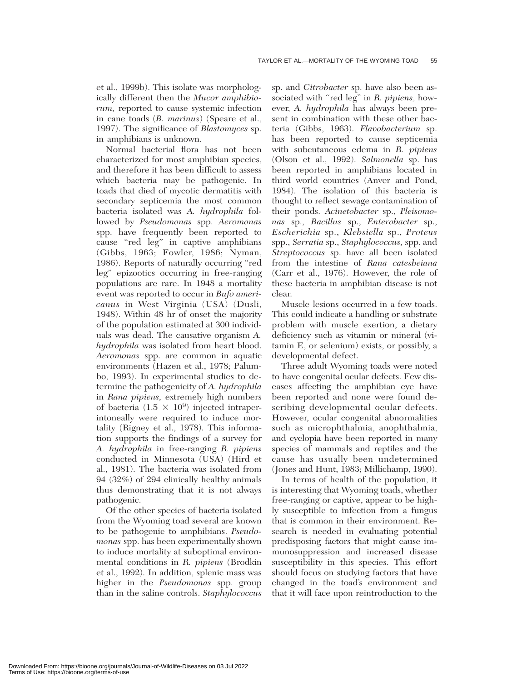et al., 1999b). This isolate was morphologically different then the *Mucor amphibiorum,* reported to cause systemic infection in cane toads (*B. marinus*) (Speare et al., 1997). The significance of *Blastomyces* sp. in amphibians is unknown.

Normal bacterial flora has not been characterized for most amphibian species, and therefore it has been difficult to assess which bacteria may be pathogenic. In toads that died of mycotic dermatitis with secondary septicemia the most common bacteria isolated was *A. hydrophila* followed by *Pseudomonas* spp. *Aeromonas* spp. have frequently been reported to cause "red leg" in captive amphibians (Gibbs, 1963; Fowler, 1986; Nyman, 1986). Reports of naturally occurring ''red leg'' epizootics occurring in free-ranging populations are rare. In 1948 a mortality event was reported to occur in *Bufo americanus* in West Virginia (USA) (Dusli, 1948). Within 48 hr of onset the majority of the population estimated at 300 individuals was dead. The causative organism *A. hydrophila* was isolated from heart blood. *Aeromonas* spp. are common in aquatic environments (Hazen et al., 1978; Palumbo, 1993). In experimental studies to determine the pathogenicity of *A. hydrophila* in *Rana pipiens,* extremely high numbers of bacteria  $(1.5 \times 10^9)$  injected intraperintoneally were required to induce mortality (Rigney et al., 1978). This information supports the findings of a survey for *A. hydrophila* in free-ranging *R. pipiens* conducted in Minnesota (USA) (Hird et al., 1981). The bacteria was isolated from 94 (32%) of 294 clinically healthy animals thus demonstrating that it is not always pathogenic.

Of the other species of bacteria isolated from the Wyoming toad several are known to be pathogenic to amphibians. *Pseudomonas* spp. has been experimentally shown to induce mortality at suboptimal environmental conditions in *R. pipiens* (Brodkin et al., 1992). In addition, splenic mass was higher in the *Pseudomonas* spp. group than in the saline controls. *Staphylococcus*

sp. and *Citrobacter* sp. have also been associated with ''red leg'' in *R. pipiens,* however, *A. hydrophila* has always been present in combination with these other bacteria (Gibbs, 1963). *Flavobacterium* sp. has been reported to cause septicemia with subcutaneous edema in *R. pipiens* (Olson et al., 1992). *Salmonella* sp. has been reported in amphibians located in third world countries (Anver and Pond, 1984). The isolation of this bacteria is thought to reflect sewage contamination of their ponds. *Acinetobacter* sp., *Pleisomonas* sp., *Bacillus* sp., *Enterobacter* sp., *Escherichia* sp., *Klebsiella* sp., *Proteus* spp., *Serratia* sp., *Staphylococcus,* spp. and *Streptococcus* sp. have all been isolated from the intestine of *Rana catesbeiana* (Carr et al., 1976). However, the role of these bacteria in amphibian disease is not clear.

Muscle lesions occurred in a few toads. This could indicate a handling or substrate problem with muscle exertion, a dietary deficiency such as vitamin or mineral (vitamin E, or selenium) exists, or possibly, a developmental defect.

Three adult Wyoming toads were noted to have congenital ocular defects. Few diseases affecting the amphibian eye have been reported and none were found describing developmental ocular defects. However, ocular congenital abnormalities such as microphthalmia, anophthalmia, and cyclopia have been reported in many species of mammals and reptiles and the cause has usually been undetermined (Jones and Hunt, 1983; Millichamp, 1990).

In terms of health of the population, it is interesting that Wyoming toads, whether free-ranging or captive, appear to be highly susceptible to infection from a fungus that is common in their environment. Research is needed in evaluating potential predisposing factors that might cause immunosuppression and increased disease susceptibility in this species. This effort should focus on studying factors that have changed in the toad's environment and that it will face upon reintroduction to the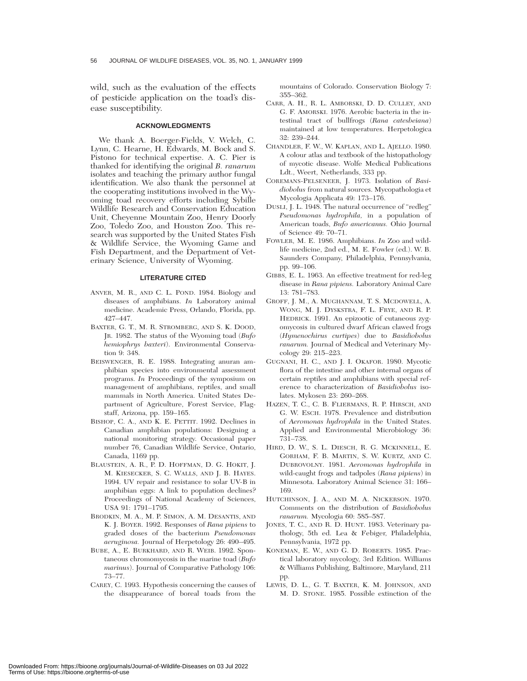wild, such as the evaluation of the effects of pesticide application on the toad's disease susceptibility.

## **ACKNOWLEDGMENTS**

We thank A. Boerger-Fields, V. Welch, C. Lynn, C. Hearne, H. Edwards, M. Bock and S. Pistono for technical expertise. A. C. Pier is thanked for identifying the original *B. ranarum* isolates and teaching the primary author fungal identification. We also thank the personnel at the cooperating institutions involved in the Wyoming toad recovery efforts including Sybille Wildlife Research and Conservation Education Unit, Cheyenne Mountain Zoo, Henry Doorly Zoo, Toledo Zoo, and Houston Zoo. This research was supported by the United States Fish & Wildlife Service, the Wyoming Game and Fish Department, and the Department of Veterinary Science, University of Wyoming.

## **LITERATURE CITED**

- ANVER, M. R., AND C. L. POND. 1984. Biology and diseases of amphibians. *In* Laboratory animal medicine. Academic Press, Orlando, Florida, pp. 427–447.
- BAXTER, G. T., M. R. STROMBERG, AND S. K. DOOD, JR. 1982. The status of the Wyoming toad (*Bufo hemiophrys baxteri*). Environmental Conservation 9: 348.
- BEISWENGER, R. E. 1988. Integrating anuran amphibian species into environmental assessment programs. *In* Proceedings of the symposium on management of amphibians, reptiles, and small mammals in North America. United States Department of Agriculture, Forest Service, Flagstaff, Arizona, pp. 159–165.
- BISHOP, C. A., AND K. E. PETTIT. 1992. Declines in Canadian amphibian populations: Designing a national monitoring strategy. Occasional paper number 76, Canadian Wildlife Service, Ontario, Canada, 1169 pp.
- BLAUSTEIN, A. R., P. D. HOFFMAN, D. G. HOKIT, J. M. KIESECKER, S. C. WALLS, AND J. B. HAYES. 1994. UV repair and resistance to solar UV-B in amphibian eggs: A link to population declines? Proceedings of National Academy of Sciences, USA 91: 1791–1795.
- BRODKIN, M. A., M. P. SIMON, A. M. DESANTIS, AND K. J. BOYER. 1992. Responses of *Rana pipiens* to graded doses of the bacterium *Pseudomonas aeruginosa.* Journal of Herpetology 26: 490–495.
- BUBE, A., E. BURKHARD, AND R. WEIB. 1992. Spontaneous chromomycosis in the marine toad (*Bufo marinus*). Journal of Comparative Pathology 106: 73–77.
- CAREY, C. 1993. Hypothesis concerning the causes of the disappearance of boreal toads from the

mountains of Colorado. Conservation Biology 7: 355–362.

- CARR, A. H., R. L. AMBORSKI, D. D. CULLEY, AND G. F. AMORSKI. 1976. Aerobic bacteria in the intestinal tract of bullfrogs (*Rana catesbeiana*) maintained at low temperatures. Herpetologica 32: 239–244.
- CHANDLER, F. W., W. KAPLAN, AND L. AJELLO. 1980. A colour atlas and textbook of the histopathology of mycotic disease. Wolfe Medical Publications Ldt., Weert, Netherlands, 333 pp.
- COREMANS-PELSENEER, J. 1973. Isolation of *Basidiobolus* from natural sources. Mycopathologia et Mycologia Applicata 49: 173–176.
- DUSLI, J. L. 1948. The natural occurrence of ''redleg'' *Pseudomonas hydrophila,* in a population of American toads, *Bufo americanus.* Ohio Journal of Science 49: 70–71.
- FOWLER, M. E. 1986. Amphibians. *In* Zoo and wildlife medicine, 2nd ed., M. E. Fowler (ed.). W. B. Saunders Company, Philadelphia, Pennsylvania, pp. 99–106.
- GIBBS, E. L. 1963. An effective treatment for red-leg disease in *Rana pipiens.* Laboratory Animal Care 13: 781–783.
- GROFF, J. M., A. MUGHANNAM, T. S. MCDOWELL, A. WONG, M. J. DYSKSTRA, F. L. FRYE, AND R. P. HEDRICK. 1991. An epizootic of cutaneous zygomycosis in cultured dwarf African clawed frogs (*Hymenochirus curtipes*) due to *Basidiobolus ranarum.* Journal of Medical and Veterinary Mycology 29: 215–223.
- GUGNANI, H. C., AND J. I. OKAFOR. 1980. Mycotic flora of the intestine and other internal organs of certain reptiles and amphibians with special reference to characterization of *Basidiobolus* isolates. Mykosen 23: 260–268.
- HAZEN, T. C., C. B. FLIERMANS, R. P. HIRSCH, AND G. W. ESCH. 1978. Prevalence and distribution of *Aeromonas hydrophila* in the United States. Applied and Environmental Microbiology 36: 731–738.
- HIRD, D. W., S. L. DIESCH, R. G. MCKINNELL, E. GORHAM, F. B. MARTIN, S. W. KURTZ, AND C. DUBROVOLNY. 1981. *Aeromonas hydrophila* in wild-caught frogs and tadpoles (*Rana pipiens*) in Minnesota. Laboratory Animal Science 31: 166– 169.
- HUTCHINSON, J. A., AND M. A. NICKERSON. 1970. Comments on the distribution of *Basidiobolus ranarum.* Mycologia 60: 585–587.
- JONES, T. C., AND R. D. HUNT. 1983. Veterinary pathology, 5th ed. Lea & Febiger, Philadelphia, Pennsylvania, 1972 pp.
- KONEMAN, E. W., AND G. D. ROBERTS. 1985. Practical laboratory mycology, 3rd Edition. Williams & Williams Publishing, Baltimore, Maryland, 211 pp.
- LEWIS, D. L., G. T. BAXTER, K. M. JOHNSON, AND M. D. STONE. 1985. Possible extinction of the